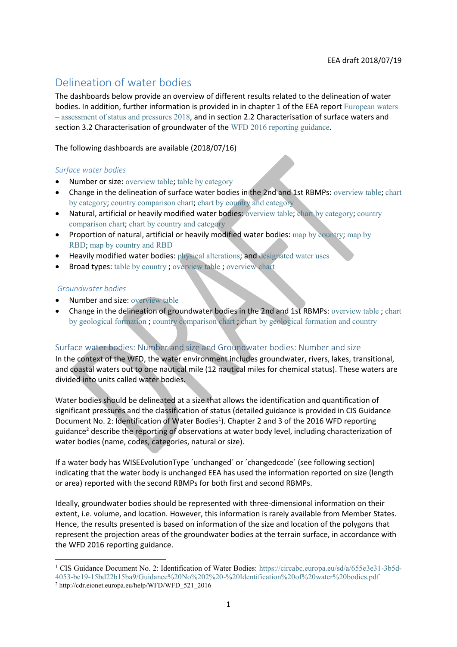# Delineation of water bodies

The dashboards below provide an overview of different results related to the delineation of water bodies. In addition, further information is provided in in chapter 1 of the EEA report [European waters](https://www.eea.europa.eu/publications/state-of-water)  – [assessment of status and pressures 2018](https://www.eea.europa.eu/publications/state-of-water), and in section 2.2 Characterisation of surface waters and section 3.2 Characterisation of groundwater of the [WFD 2016 reporting guidance](http://cdr.eionet.europa.eu/help/WFD/WFD_521_2016).

The following dashboards are available (2018/07/16)

#### *Surface water bodies*

- Number or size: [overview table](https://tableau.discomap.eea.europa.eu/t/Wateronline/views/WISE_SOW_SurfaceWaterBody/SWB_NumberSize?:embed=y&:showShareOptions=true&:display_count=no&:showVizHome=no); [table by category](https://tableau.discomap.eea.europa.eu/t/Wateronline/views/WISE_SOW_SurfaceWaterBody/SWB_Category?:embed=y&:showShareOptions=true&:display_count=no&:showVizHome=no)
- Change in the delineation of surface water bodies in the 2nd and 1st RBMPs: [overview table](https://tableau.discomap.eea.europa.eu/t/Wateronline/views/WISE_SOW_wiseEvolutionType/SWB_Evolution?:embed=y&:showAppBanner=false&:showShareOptions=true&:display_count=no&:showVizHome=no); [chart](https://tableau.discomap.eea.europa.eu/t/Wateronline/views/WISE_SOW_Evolution_Compare/SWB_Evolution_Category?:embed=y&:showAppBanner=false&:showShareOptions=true&:display_count=no&:showVizHome=no)  [by category](https://tableau.discomap.eea.europa.eu/t/Wateronline/views/WISE_SOW_Evolution_Compare/SWB_Evolution_Category?:embed=y&:showAppBanner=false&:showShareOptions=true&:display_count=no&:showVizHome=no); [country comparison chart](https://tableau.discomap.eea.europa.eu/t/Wateronline/views/WISE_SOW_Evolution_Compare/SWB_Evolution_Country?:embed=y&:showAppBanner=false&:showShareOptions=true&:display_count=no&:showVizHome=no); [chart by country and category](https://tableau.discomap.eea.europa.eu/t/Wateronline/views/WISE_SOW_Evolution_Compare/SWB_Evolution_CategoryCountry?:embed=y&:showAppBanner=false&:showShareOptions=true&:display_count=no&:showVizHome=no)
- Natural, artificial or heavily modified water bodies: [overview table](https://tableau.discomap.eea.europa.eu/t/Wateronline/views/WISE_SOW_SurfaceWaterBody/SWB_CategoryType?:embed=y&:showShareOptions=true&:display_count=no&:showVizHome=no); [chart by category](https://tableau.discomap.eea.europa.eu/t/Wateronline/views/WISE_SOW_Type/SWB_Type_Category?iframeSizedToWindow=true&:embed=y&:showAppBanner=false&:display_count=no&:showVizHome=no); [country](https://tableau.discomap.eea.europa.eu/t/Wateronline/views/WISE_SOW_Type/SWB_Type_Country?iframeSizedToWindow=true&:embed=y&:showAppBanner=false&:display_count=no&:showVizHome=no)  [comparison chart](https://tableau.discomap.eea.europa.eu/t/Wateronline/views/WISE_SOW_Type/SWB_Type_Country?iframeSizedToWindow=true&:embed=y&:showAppBanner=false&:display_count=no&:showVizHome=no); [chart by country and category](https://tableau.discomap.eea.europa.eu/t/Wateronline/views/WISE_SOW_Type/SWB_Type_CategoryCountry?iframeSizedToWindow=true&:embed=y&:showAppBanner=false&:display_count=no&:showVizHome=no)
- Proportion of natural, artificial or heavily modified water bodies: [map by country](https://tableau.discomap.eea.europa.eu/t/Wateronline/views/WISE_SOW_SWB_AWBHMWB_Maps/SWB_AWBHMWB_NUTS0?iframeSizedToWindow=true&:embed=y&:showAppBanner=false&:display_count=no&:showVizHome=no); [map by](https://tableau.discomap.eea.europa.eu/t/Wateronline/views/WISE_SOW_SWB_AWBHMWB_Maps/SWB_AWBHMWB_RBD?iframeSizedToWindow=true&:embed=y&:showAppBanner=false&:display_count=no&:showVizHome=no#3)  [RBD](https://tableau.discomap.eea.europa.eu/t/Wateronline/views/WISE_SOW_SWB_AWBHMWB_Maps/SWB_AWBHMWB_RBD?iframeSizedToWindow=true&:embed=y&:showAppBanner=false&:display_count=no&:showVizHome=no#3); [map by country and](https://tableau.discomap.eea.europa.eu/t/Wateronline/views/WISE_SOW_SWB_AWBHMWB_Maps/SWB_AWBHMWB_Country?iframeSizedToWindow=true&:embed=y&:showAppBanner=false&:display_count=no&:showVizHome=no) RBD
- Heavily modified water bodies: [physical alterations](https://tableau.discomap.eea.europa.eu/t/Wateronline/views/WISE_SOW_SWB_hmwbPhysicalAlteration/WISE_SOW_SWB_hmwbPhysicalAlteration?iframeSizedToWindow=true&:embed=y&:showAppBanner=false&:display_count=no&:showVizHome=no); and [designated water uses](https://tableau.discomap.eea.europa.eu/t/Wateronline/views/WISE_SOW_SWB_hmwbWaterUse/WISE_SOW_SWB_hmwbWaterUse?iframeSizedToWindow=true&:embed=y&:showAppBanner=false&:display_count=no&:showVizHome=no)
- Broad types: [table by country](https://tableau.discomap.eea.europa.eu/t/Wateronline/views/WISE_SOW_BroadType/SWB_BroadType?iframeSizedToWindow=true&:embed=y&:showAppBanner=false&:display_count=no&:showVizHome=no) ; [overview table](https://tableau.discomap.eea.europa.eu/t/Wateronline/views/WISE_SOW_BroadType/SWB_BroadType_Europe?iframeSizedToWindow=true&:embed=y&:showAppBanner=false&:display_count=no&:showVizHome=no) ; [overview chart](https://tableau.discomap.eea.europa.eu/t/Wateronline/views/WISE_SOW_BroadType/SWB_BroadType_Europe_G?iframeSizedToWindow=true&:embed=y&:showAppBanner=false&:display_count=no&:showVizHome=no)

#### *Groundwater bodies*

- Number and size: [overview table](https://tableau.discomap.eea.europa.eu/t/Wateronline/views/WISE_SOW_GroundWaterBody/GWB_NumberSize?:embed=y&:showShareOptions=true&:display_count=no&:showVizHome=no)
- Change in the delineation of groundwater bodies in the 2nd and 1st RBMPs: [overview table](https://tableau.discomap.eea.europa.eu/t/Wateronline/views/WISE_SOW_wiseEvolutionType/GWB_Evolution?:embed=y&:showAppBanner=false&:showShareOptions=true&:display_count=no&:showVizHome=no) ; [chart](https://tableau.discomap.eea.europa.eu/t/Wateronline/views/WISE_SOW_Evolution_Compare/GWB_Evolution_Category?:embed=y&:showAppBanner=false&:showShareOptions=true&:display_count=no&:showVizHome=no)  [by geological formation](https://tableau.discomap.eea.europa.eu/t/Wateronline/views/WISE_SOW_Evolution_Compare/GWB_Evolution_Category?:embed=y&:showAppBanner=false&:showShareOptions=true&:display_count=no&:showVizHome=no) ; [country comparison chart](https://tableau.discomap.eea.europa.eu/t/Wateronline/views/WISE_SOW_Evolution_Compare/GWB_Evolution_Country?:embed=y&:showAppBanner=false&:showShareOptions=true&:display_count=no&:showVizHome=no) ; [chart by geological formation and country](https://tableau.discomap.eea.europa.eu/t/Wateronline/views/WISE_SOW_Evolution_Compare/GWB_Evolution_CategoryCountry?:embed=y&:showAppBanner=false&:showShareOptions=true&:display_count=no&:showVizHome=no)

## Surface water bodies: Number and size and Groundwater bodies: Number and size

In the context of the WFD, the water environment includes groundwater, rivers, lakes, transitional, and coastal waters out to one nautical mile (12 nautical miles for chemical status). These waters are divided into units called water bodies.

Water bodies should be delineated at a size that allows the identification and quantification of significant pressures and the classification of status (detailed guidance is provided in CIS Guidance Document No. 2: Identification of Water Bodies<sup>1</sup>). Chapter 2 and 3 of the 2016 WFD reporting guidance<sup>2</sup> describe the reporting of observations at water body level, including characterization of water bodies (name, codes, categories, natural or size).

If a water body has WISEEvolutionType ´unchanged´ or ´changedcode´ (see following section) indicating that the water body is unchanged EEA has used the information reported on size (length or area) reported with the second RBMPs for both first and second RBMPs.

Ideally, groundwater bodies should be represented with three-dimensional information on their extent, i.e. volume, and location. However, this information is rarely available from Member States. Hence, the results presented is based on information of the size and location of the polygons that represent the projection areas of the groundwater bodies at the terrain surface, in accordance with the WFD 2016 reporting guidance.

**<sup>.</sup>** <sup>1</sup> CIS Guidance Document No. 2: Identification of Water Bodies: [https://circabc.europa.eu/sd/a/655e3e31-3b5d-](https://circabc.europa.eu/sd/a/655e3e31-3b5d-4053-be19-15bd22b15ba9/Guidance%20No%202%20-%20Identification%20of%20water%20bodies.pdf)[4053-be19-15bd22b15ba9/Guidance%20No%202%20-%20Identification%20of%20water%20bodies.pdf](https://circabc.europa.eu/sd/a/655e3e31-3b5d-4053-be19-15bd22b15ba9/Guidance%20No%202%20-%20Identification%20of%20water%20bodies.pdf)  <sup>2</sup> http://cdr.eionet.europa.eu/help/WFD/WFD\_521\_2016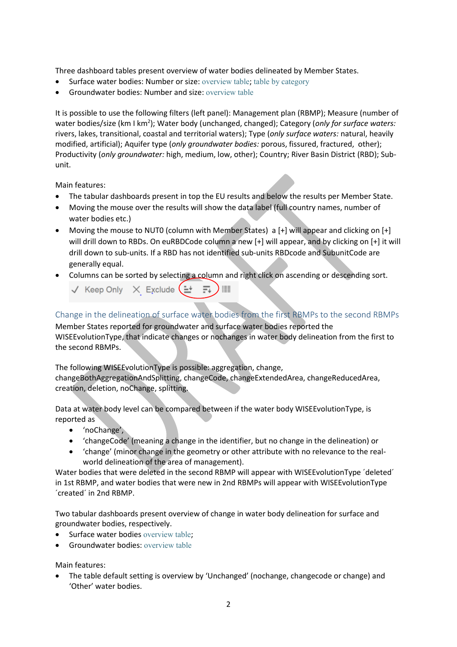Three dashboard tables present overview of water bodies delineated by Member States.

- Surface water bodies: Number or size: [overview table](https://tableau.discomap.eea.europa.eu/t/Wateronline/views/WISE_SOW_SurfaceWaterBody/SWB_NumberSize?:embed=y&:showShareOptions=true&:display_count=no&:showVizHome=no); [table by category](https://tableau.discomap.eea.europa.eu/t/Wateronline/views/WISE_SOW_SurfaceWaterBody/SWB_Category?:embed=y&:showShareOptions=true&:display_count=no&:showVizHome=no)
- Groundwater bodies: Number and size: [overview table](https://tableau.discomap.eea.europa.eu/t/Wateronline/views/WISE_SOW_GroundWaterBody/GWB_NumberSize?:embed=y&:showShareOptions=true&:display_count=no&:showVizHome=no)

It is possible to use the following filters (left panel): Management plan (RBMP); Measure (number of water bodies/size (km I km<sup>2</sup>); Water body (unchanged, changed); Category (only for surface waters: rivers, lakes, transitional, coastal and territorial waters); Type (*only surface waters:* natural, heavily modified, artificial); Aquifer type (*only groundwater bodies:* porous, fissured, fractured, other); Productivity (*only groundwater:* high, medium, low, other); Country; River Basin District (RBD); Subunit.

Main features:

- The tabular dashboards present in top the EU results and below the results per Member State.
- Moving the mouse over the results will show the data label (full country names, number of water bodies etc.)
- Moving the mouse to NUT0 (column with Member States) a [+] will appear and clicking on [+] will drill down to RBDs. On euRBDCode column a new [+] will appear, and by clicking on [+] it will drill down to sub-units. If a RBD has not identified sub-units RBDcode and SubunitCode are generally equal.
- Columns can be sorted by selecting a column and right click on ascending or descending sort.
	- $\checkmark$  Keep Only  $\checkmark$  Exclude  $(1 + \bar{F}_+)^{1/2}$

Change in the delineation of surface water bodies from the first RBMPs to the second RBMPs Member States reported for groundwater and surface water bodies reported the

WISEEvolutionType, that indicate changes or nochanges in water body delineation from the first to the second RBMPs.

The following WISEEvolutionType is possible: aggregation, change, changeBothAggregationAndSplitting, changeCode, changeExtendedArea, changeReducedArea, creation, deletion, noChange, splitting.

Data at water body level can be compared between if the water body WISEEvolutionType, is reported as

- 'noChange',
- 'changeCode' (meaning a change in the identifier, but no change in the delineation) or
- 'change' (minor change in the geometry or other attribute with no relevance to the realworld delineation of the area of management).

Water bodies that were deleted in the second RBMP will appear with WISEEvolutionType 'deleted' in 1st RBMP, and water bodies that were new in 2nd RBMPs will appear with WISEEvolutionType ´created´ in 2nd RBMP.

Two tabular dashboards present overview of change in water body delineation for surface and groundwater bodies, respectively.

- Surface water bodies [overview table](https://tableau.discomap.eea.europa.eu/t/Wateronline/views/WISE_SOW_wiseEvolutionType/SWB_Evolution?:embed=y&:showAppBanner=false&:showShareOptions=true&:display_count=no&:showVizHome=no);
- **Groundwater bodies: [overview table](https://tableau.discomap.eea.europa.eu/t/Wateronline/views/WISE_SOW_wiseEvolutionType/GWB_Evolution?:embed=y&:showAppBanner=false&:showShareOptions=true&:display_count=no&:showVizHome=no)**

Main features:

 The table default setting is overview by 'Unchanged' (nochange, changecode or change) and 'Other' water bodies.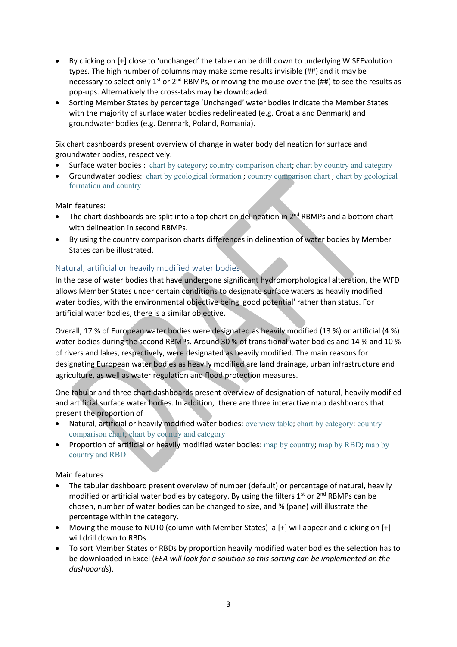- By clicking on [+] close to 'unchanged' the table can be drill down to underlying WISEEvolution types. The high number of columns may make some results invisible (##) and it may be necessary to select only 1<sup>st</sup> or 2<sup>nd</sup> RBMPs, or moving the mouse over the (##) to see the results as pop-ups. Alternatively the cross-tabs may be downloaded.
- Sorting Member States by percentage 'Unchanged' water bodies indicate the Member States with the majority of surface water bodies redelineated (e.g. Croatia and Denmark) and groundwater bodies (e.g. Denmark, Poland, Romania).

Six chart dashboards present overview of change in water body delineation for surface and groundwater bodies, respectively.

- Surface water bodies : [chart by category](https://tableau.discomap.eea.europa.eu/t/Wateronline/views/WISE_SOW_Evolution_Compare/SWB_Evolution_Category?:embed=y&:showAppBanner=false&:showShareOptions=true&:display_count=no&:showVizHome=no); [country comparison chart](https://tableau.discomap.eea.europa.eu/t/Wateronline/views/WISE_SOW_Evolution_Compare/SWB_Evolution_Country?:embed=y&:showAppBanner=false&:showShareOptions=true&:display_count=no&:showVizHome=no); [chart by country and category](https://tableau.discomap.eea.europa.eu/t/Wateronline/views/WISE_SOW_Evolution_Compare/SWB_Evolution_CategoryCountry?:embed=y&:showAppBanner=false&:showShareOptions=true&:display_count=no&:showVizHome=no)
- Groundwater bodies: [chart by geological formation](https://tableau.discomap.eea.europa.eu/t/Wateronline/views/WISE_SOW_Evolution_Compare/GWB_Evolution_Category?:embed=y&:showAppBanner=false&:showShareOptions=true&:display_count=no&:showVizHome=no) ; [country comparison chart](https://tableau.discomap.eea.europa.eu/t/Wateronline/views/WISE_SOW_Evolution_Compare/GWB_Evolution_Country?:embed=y&:showAppBanner=false&:showShareOptions=true&:display_count=no&:showVizHome=no) ; [chart by geological](https://tableau.discomap.eea.europa.eu/t/Wateronline/views/WISE_SOW_Evolution_Compare/GWB_Evolution_CategoryCountry?:embed=y&:showAppBanner=false&:showShareOptions=true&:display_count=no&:showVizHome=no)  [formation and](https://tableau.discomap.eea.europa.eu/t/Wateronline/views/WISE_SOW_Evolution_Compare/GWB_Evolution_CategoryCountry?:embed=y&:showAppBanner=false&:showShareOptions=true&:display_count=no&:showVizHome=no) country

Main features:

- The chart dashboards are split into a top chart on delineation in 2<sup>nd</sup> RBMPs and a bottom chart with delineation in second RBMPs.
- By using the country comparison charts differences in delineation of water bodies by Member States can be illustrated.

# Natural, artificial or heavily modified water bodies

In the case of water bodies that have undergone significant hydromorphological alteration, the WFD allows Member States under certain conditions to designate surface waters as heavily modified water bodies, with the environmental objective being 'good potential' rather than status. For artificial water bodies, there is a similar objective.

Overall, 17 % of European water bodies were designated as heavily modified (13 %) or artificial (4 %) water bodies during the second RBMPs. Around 30 % of transitional water bodies and 14 % and 10 % of rivers and lakes, respectively, were designated as heavily modified. The main reasons for designating European water bodies as heavily modified are land drainage, urban infrastructure and agriculture, as well as water regulation and flood protection measures.

One tabular and three chart dashboards present overview of designation of natural, heavily modified and artificial surface water bodies. In addition, there are three interactive map dashboards that present the proportion of

- Natural, artificial or heavily modified water bodies: [overview table](https://tableau.discomap.eea.europa.eu/t/Wateronline/views/WISE_SOW_SurfaceWaterBody/SWB_CategoryType?:embed=y&:showShareOptions=true&:display_count=no&:showVizHome=no); [chart by category](https://tableau.discomap.eea.europa.eu/t/Wateronline/views/WISE_SOW_Type/SWB_Type_Category?iframeSizedToWindow=true&:embed=y&:showAppBanner=false&:display_count=no&:showVizHome=no); [country](https://tableau.discomap.eea.europa.eu/t/Wateronline/views/WISE_SOW_Type/SWB_Type_Country?iframeSizedToWindow=true&:embed=y&:showAppBanner=false&:display_count=no&:showVizHome=no)  [comparison chart](https://tableau.discomap.eea.europa.eu/t/Wateronline/views/WISE_SOW_Type/SWB_Type_Country?iframeSizedToWindow=true&:embed=y&:showAppBanner=false&:display_count=no&:showVizHome=no); [chart by country and category](https://tableau.discomap.eea.europa.eu/t/Wateronline/views/WISE_SOW_Type/SWB_Type_CategoryCountry?iframeSizedToWindow=true&:embed=y&:showAppBanner=false&:display_count=no&:showVizHome=no)
- Proportion of artificial or heavily modified water bodies: [map by country](https://tableau.discomap.eea.europa.eu/t/Wateronline/views/WISE_SOW_SWB_AWBHMWB_Maps/SWB_AWBHMWB_NUTS0?iframeSizedToWindow=true&:embed=y&:showAppBanner=false&:display_count=no&:showVizHome=no); [map by RBD](https://tableau.discomap.eea.europa.eu/t/Wateronline/views/WISE_SOW_SWB_AWBHMWB_Maps/SWB_AWBHMWB_RBD?iframeSizedToWindow=true&:embed=y&:showAppBanner=false&:display_count=no&:showVizHome=no#3); map by [country and RBD](https://tableau.discomap.eea.europa.eu/t/Wateronline/views/WISE_SOW_SWB_AWBHMWB_Maps/SWB_AWBHMWB_Country?iframeSizedToWindow=true&:embed=y&:showAppBanner=false&:display_count=no&:showVizHome=no)

#### Main features

- The tabular dashboard present overview of number (default) or percentage of natural, heavily modified or artificial water bodies by category. By using the filters  $1<sup>st</sup>$  or  $2<sup>nd</sup>$  RBMPs can be chosen, number of water bodies can be changed to size, and % (pane) will illustrate the percentage within the category.
- Moving the mouse to NUT0 (column with Member States) a [+] will appear and clicking on [+] will drill down to RBDs.
- To sort Member States or RBDs by proportion heavily modified water bodies the selection has to be downloaded in Excel (*EEA will look for a solution so this sorting can be implemented on the dashboards*).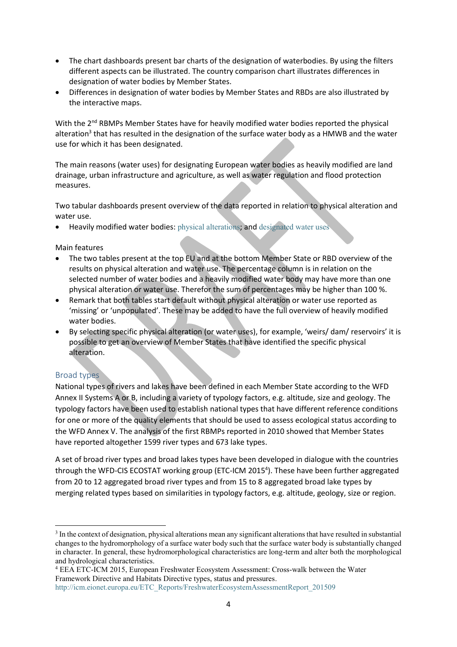- The chart dashboards present bar charts of the designation of waterbodies. By using the filters different aspects can be illustrated. The country comparison chart illustrates differences in designation of water bodies by Member States.
- Differences in designation of water bodies by Member States and RBDs are also illustrated by the interactive maps.

With the 2<sup>nd</sup> RBMPs Member States have for heavily modified water bodies reported the physical alteration<sup>3</sup> that has resulted in the designation of the surface water body as a HMWB and the water use for which it has been designated.

The main reasons (water uses) for designating European water bodies as heavily modified are land drainage, urban infrastructure and agriculture, as well as water regulation and flood protection measures.

Two tabular dashboards present overview of the data reported in relation to physical alteration and water use.

Heavily modified water bodies: [physical alterations](https://tableau.discomap.eea.europa.eu/t/Wateronline/views/WISE_SOW_SWB_hmwbPhysicalAlteration/WISE_SOW_SWB_hmwbPhysicalAlteration?iframeSizedToWindow=true&:embed=y&:showAppBanner=false&:display_count=no&:showVizHome=no); and [designated water uses](https://tableau.discomap.eea.europa.eu/t/Wateronline/views/WISE_SOW_SWB_hmwbWaterUse/WISE_SOW_SWB_hmwbWaterUse?iframeSizedToWindow=true&:embed=y&:showAppBanner=false&:display_count=no&:showVizHome=no)

Main features

- The two tables present at the top EU and at the bottom Member State or RBD overview of the results on physical alteration and water use. The percentage column is in relation on the selected number of water bodies and a heavily modified water body may have more than one physical alteration or water use. Therefor the sum of percentages may be higher than 100 %.
- Remark that both tables start default without physical alteration or water use reported as 'missing' or 'unpopulated'. These may be added to have the full overview of heavily modified water bodies.
- By selecting specific physical alteration (or water uses), for example, 'weirs/ dam/ reservoirs' it is possible to get an overview of Member States that have identified the specific physical alteration.

## Broad types

**.** 

National types of rivers and lakes have been defined in each Member State according to the WFD Annex II Systems A or B, including a variety of typology factors, e.g. altitude, size and geology. The typology factors have been used to establish national types that have different reference conditions for one or more of the quality elements that should be used to assess ecological status according to the WFD Annex V. The analysis of the first RBMPs reported in 2010 showed that Member States have reported altogether 1599 river types and 673 lake types.

A set of broad river types and broad lakes types have been developed in dialogue with the countries through the WFD-CIS ECOSTAT working group (ETC-ICM 2015<sup>4</sup>). These have been further aggregated from 20 to 12 aggregated broad river types and from 15 to 8 aggregated broad lake types by merging related types based on similarities in typology factors, e.g. altitude, geology, size or region.

<sup>&</sup>lt;sup>3</sup> In the context of designation, physical alterations mean any significant alterations that have resulted in substantial changes to the hydromorphology of a surface water body such that the surface water body is substantially changed in character. In general, these hydromorphological characteristics are long-term and alter both the morphological and hydrological characteristics.

<sup>4</sup> EEA ETC-ICM 2015, European Freshwater Ecosystem Assessment: Cross-walk between the Water Framework Directive and Habitats Directive types, status and pressures. [http://icm.eionet.europa.eu/ETC\\_Reports/FreshwaterEcosystemAssessmentReport\\_201509](http://icm.eionet.europa.eu/ETC_Reports/FreshwaterEcosystemAssessmentReport_201509)